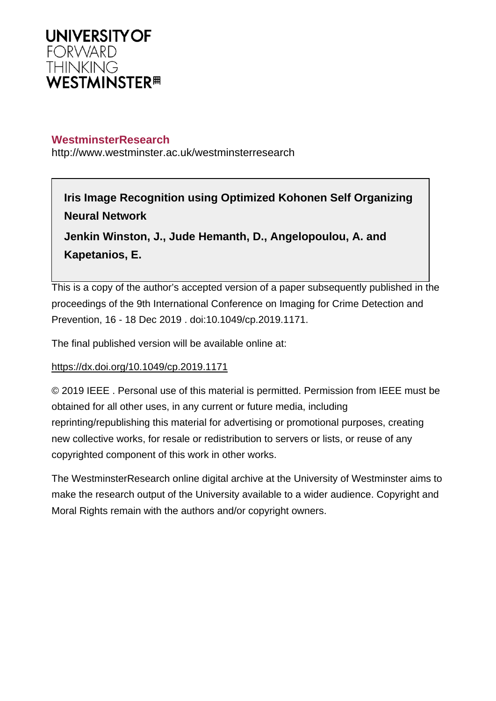

# **WestminsterResearch**

http://www.westminster.ac.uk/westminsterresearch

**Iris Image Recognition using Optimized Kohonen Self Organizing Neural Network**

**Jenkin Winston, J., Jude Hemanth, D., Angelopoulou, A. and Kapetanios, E.**

This is a copy of the author's accepted version of a paper subsequently published in the proceedings of the 9th International Conference on Imaging for Crime Detection and Prevention, 16 - 18 Dec 2019 . doi:10.1049/cp.2019.1171.

The final published version will be available online at:

# <https://dx.doi.org/10.1049/cp.2019.1171>

© 2019 IEEE . Personal use of this material is permitted. Permission from IEEE must be obtained for all other uses, in any current or future media, including reprinting/republishing this material for advertising or promotional purposes, creating new collective works, for resale or redistribution to servers or lists, or reuse of any copyrighted component of this work in other works.

The WestminsterResearch online digital archive at the University of Westminster aims to make the research output of the University available to a wider audience. Copyright and Moral Rights remain with the authors and/or copyright owners.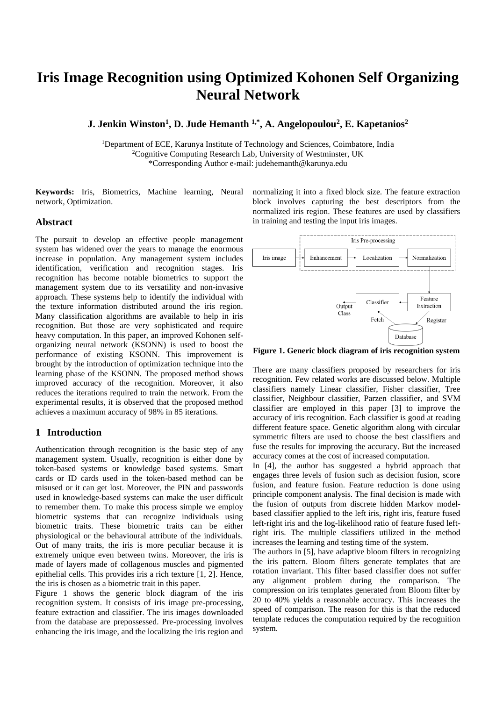# **Iris Image Recognition using Optimized Kohonen Self Organizing Neural Network**

**J. Jenkin Winston<sup>1</sup> , D. Jude Hemanth 1,\*, A. Angelopoulou<sup>2</sup> , E. Kapetanios<sup>2</sup>**

<sup>1</sup>Department of ECE, Karunya Institute of Technology and Sciences, Coimbatore, India <sup>2</sup>Cognitive Computing Research Lab, University of Westminster, UK \*Corresponding Author e-mail: judehemanth@karunya.edu

**Keywords:** Iris, Biometrics, Machine learning, Neural network, Optimization.

#### **Abstract**

The pursuit to develop an effective people management system has widened over the years to manage the enormous increase in population. Any management system includes identification, verification and recognition stages. Iris recognition has become notable biometrics to support the management system due to its versatility and non-invasive approach. These systems help to identify the individual with the texture information distributed around the iris region. Many classification algorithms are available to help in iris recognition. But those are very sophisticated and require heavy computation. In this paper, an improved Kohonen selforganizing neural network (KSONN) is used to boost the performance of existing KSONN. This improvement is brought by the introduction of optimization technique into the learning phase of the KSONN. The proposed method shows improved accuracy of the recognition. Moreover, it also reduces the iterations required to train the network. From the experimental results, it is observed that the proposed method achieves a maximum accuracy of 98% in 85 iterations.

## **1 Introduction**

Authentication through recognition is the basic step of any management system. Usually, recognition is either done by token-based systems or knowledge based systems. Smart cards or ID cards used in the token-based method can be misused or it can get lost. Moreover, the PIN and passwords used in knowledge-based systems can make the user difficult to remember them. To make this process simple we employ biometric systems that can recognize individuals using biometric traits. These biometric traits can be either physiological or the behavioural attribute of the individuals. Out of many traits, the iris is more peculiar because it is extremely unique even between twins. Moreover, the iris is made of layers made of collagenous muscles and pigmented epithelial cells. This provides iris a rich texture [1, 2]. Hence, the iris is chosen as a biometric trait in this paper.

Figure 1 shows the generic block diagram of the iris recognition system. It consists of iris image pre-processing, feature extraction and classifier. The iris images downloaded from the database are prepossessed. Pre-processing involves enhancing the iris image, and the localizing the iris region and

normalizing it into a fixed block size. The feature extraction block involves capturing the best descriptors from the normalized iris region. These features are used by classifiers in training and testing the input iris images.



**Figure 1. Generic block diagram of iris recognition system**

There are many classifiers proposed by researchers for iris recognition. Few related works are discussed below. Multiple classifiers namely Linear classifier, Fisher classifier, Tree classifier, Neighbour classifier, Parzen classifier, and SVM classifier are employed in this paper [3] to improve the accuracy of iris recognition. Each classifier is good at reading different feature space. Genetic algorithm along with circular symmetric filters are used to choose the best classifiers and fuse the results for improving the accuracy. But the increased accuracy comes at the cost of increased computation.

In [4], the author has suggested a hybrid approach that engages three levels of fusion such as decision fusion, score fusion, and feature fusion. Feature reduction is done using principle component analysis. The final decision is made with the fusion of outputs from discrete hidden Markov modelbased classifier applied to the left iris, right iris, feature fused left-right iris and the log-likelihood ratio of feature fused leftright iris. The multiple classifiers utilized in the method increases the learning and testing time of the system.

The authors in [5], have adaptive bloom filters in recognizing the iris pattern. Bloom filters generate templates that are rotation invariant. This filter based classifier does not suffer any alignment problem during the comparison. The compression on iris templates generated from Bloom filter by 20 to 40% yields a reasonable accuracy. This increases the speed of comparison. The reason for this is that the reduced template reduces the computation required by the recognition system.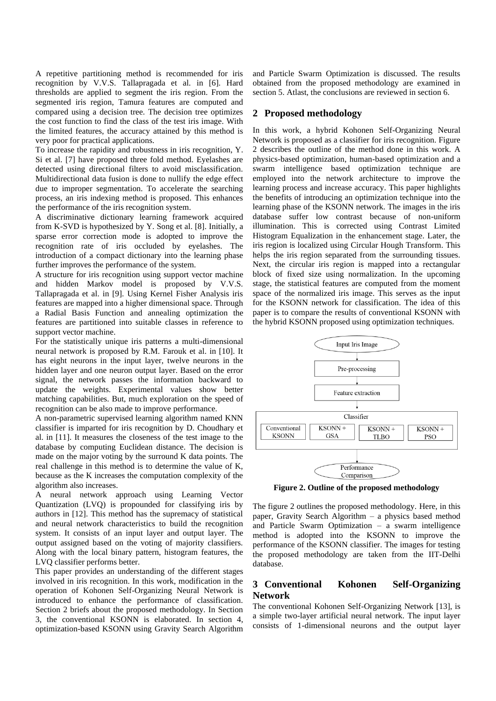A repetitive partitioning method is recommended for iris recognition by V.V.S. Tallapragada et al. in [6]. Hard thresholds are applied to segment the iris region. From the segmented iris region, Tamura features are computed and compared using a decision tree. The decision tree optimizes the cost function to find the class of the test iris image. With the limited features, the accuracy attained by this method is very poor for practical applications.

To increase the rapidity and robustness in iris recognition, Y. Si et al. [7] have proposed three fold method. Eyelashes are detected using directional filters to avoid misclassification. Multidirectional data fusion is done to nullify the edge effect due to improper segmentation. To accelerate the searching process, an iris indexing method is proposed. This enhances the performance of the iris recognition system.

A discriminative dictionary learning framework acquired from K-SVD is hypothesized by Y. Song et al. [8]. Initially, a sparse error correction mode is adopted to improve the recognition rate of iris occluded by eyelashes. The introduction of a compact dictionary into the learning phase further improves the performance of the system.

A structure for iris recognition using support vector machine and hidden Markov model is proposed by V.V.S. Tallapragada et al. in [9]. Using Kernel Fisher Analysis iris features are mapped into a higher dimensional space. Through a Radial Basis Function and annealing optimization the features are partitioned into suitable classes in reference to support vector machine.

For the statistically unique iris patterns a multi-dimensional neural network is proposed by R.M. Farouk et al. in [10]. It has eight neurons in the input layer, twelve neurons in the hidden layer and one neuron output layer. Based on the error signal, the network passes the information backward to update the weights. Experimental values show better matching capabilities. But, much exploration on the speed of recognition can be also made to improve performance.

A non-parametric supervised learning algorithm named KNN classifier is imparted for iris recognition by D. Choudhary et al. in [11]. It measures the closeness of the test image to the database by computing Euclidean distance. The decision is made on the major voting by the surround K data points. The real challenge in this method is to determine the value of K, because as the K increases the computation complexity of the algorithm also increases.

A neural network approach using Learning Vector Quantization (LVQ) is propounded for classifying iris by authors in [12]. This method has the supremacy of statistical and neural network characteristics to build the recognition system. It consists of an input layer and output layer. The output assigned based on the voting of majority classifiers. Along with the local binary pattern, histogram features, the LVQ classifier performs better.

This paper provides an understanding of the different stages involved in iris recognition. In this work, modification in the operation of Kohonen Self-Organizing Neural Network is introduced to enhance the performance of classification. Section 2 briefs about the proposed methodology. In Section 3, the conventional KSONN is elaborated. In section 4, optimization-based KSONN using Gravity Search Algorithm

and Particle Swarm Optimization is discussed. The results obtained from the proposed methodology are examined in section 5. Atlast, the conclusions are reviewed in section 6.

# **2 Proposed methodology**

In this work, a hybrid Kohonen Self-Organizing Neural Network is proposed as a classifier for iris recognition. Figure 2 describes the outline of the method done in this work. A physics-based optimization, human-based optimization and a swarm intelligence based optimization technique are employed into the network architecture to improve the learning process and increase accuracy. This paper highlights the benefits of introducing an optimization technique into the learning phase of the KSONN network. The images in the iris database suffer low contrast because of non-uniform illumination. This is corrected using Contrast Limited Histogram Equalization in the enhancement stage. Later, the iris region is localized using Circular Hough Transform. This helps the iris region separated from the surrounding tissues. Next, the circular iris region is mapped into a rectangular block of fixed size using normalization. In the upcoming stage, the statistical features are computed from the moment space of the normalized iris image. This serves as the input for the KSONN network for classification. The idea of this paper is to compare the results of conventional KSONN with the hybrid KSONN proposed using optimization techniques.



**Figure 2. Outline of the proposed methodology**

The figure 2 outlines the proposed methodology. Here, in this paper, Gravity Search Algorithm – a physics based method and Particle Swarm Optimization – a swarm intelligence method is adopted into the KSONN to improve the performance of the KSONN classifier. The images for testing the proposed methodology are taken from the IIT-Delhi database.

# **3 Conventional Kohonen Self-Organizing Network**

The conventional Kohonen Self-Organizing Network [13], is a simple two-layer artificial neural network. The input layer consists of 1-dimensional neurons and the output layer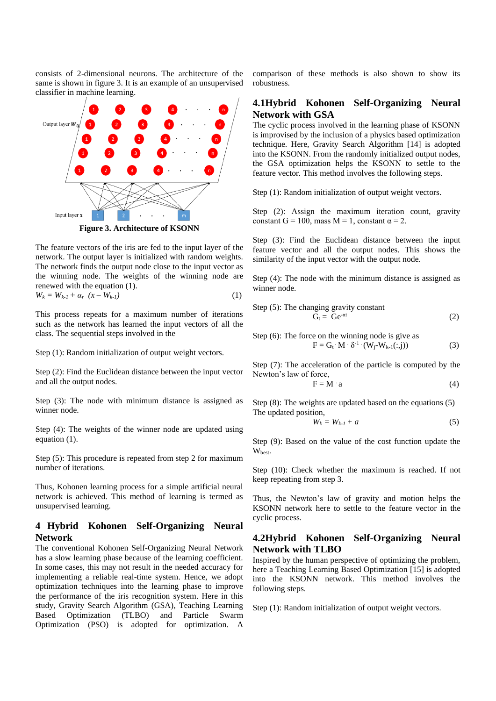consists of 2-dimensional neurons. The architecture of the same is shown in figure 3. It is an example of an unsupervised classifier in machine learning.



**Figure 3. Architecture of KSONN**

The feature vectors of the iris are fed to the input layer of the network. The output layer is initialized with random weights. The network finds the output node close to the input vector as the winning node. The weights of the winning node are renewed with the equation (1).

$$
W_k = W_{k-1} + \alpha_r (x - W_{k-1})
$$
 (1)

This process repeats for a maximum number of iterations such as the network has learned the input vectors of all the class. The sequential steps involved in the

Step (1): Random initialization of output weight vectors.

Step (2): Find the Euclidean distance between the input vector and all the output nodes.

Step (3): The node with minimum distance is assigned as winner node.

Step (4): The weights of the winner node are updated using equation (1).

Step (5): This procedure is repeated from step 2 for maximum number of iterations.

Thus, Kohonen learning process for a simple artificial neural network is achieved. This method of learning is termed as unsupervised learning.

# **4 Hybrid Kohonen Self-Organizing Neural Network**

The conventional Kohonen Self-Organizing Neural Network has a slow learning phase because of the learning coefficient. In some cases, this may not result in the needed accuracy for implementing a reliable real-time system. Hence, we adopt optimization techniques into the learning phase to improve the performance of the iris recognition system. Here in this study, Gravity Search Algorithm (GSA), Teaching Learning Based Optimization (TLBO) and Particle Swarm Optimization (PSO) is adopted for optimization. A

comparison of these methods is also shown to show its robustness.

# **4.1Hybrid Kohonen Self-Organizing Neural Network with GSA**

The cyclic process involved in the learning phase of KSONN is improvised by the inclusion of a physics based optimization technique. Here, Gravity Search Algorithm [14] is adopted into the KSONN. From the randomly initialized output nodes, the GSA optimization helps the KSONN to settle to the feature vector. This method involves the following steps.

Step (1): Random initialization of output weight vectors.

Step (2): Assign the maximum iteration count, gravity constant G = 100, mass M = 1, constant  $\alpha$  = 2.

Step (3): Find the Euclidean distance between the input feature vector and all the output nodes. This shows the similarity of the input vector with the output node.

Step (4): The node with the minimum distance is assigned as winner node.

Step (5): The changing gravity constant  
\n
$$
G_t = Ge^{-\alpha t}
$$
\n(2)

Step (6): The force on the winning node is give as  
\n
$$
F = G_t \cdot M \cdot \delta^{-1} \cdot (W_j - W_{k-1}(:,j))
$$
\n(3)

Step (7): The acceleration of the particle is computed by the Newton's law of force,

$$
F = M \cdot a \tag{4}
$$

Step (8): The weights are updated based on the equations (5) The updated position,

$$
W_k = W_{k-1} + a \tag{5}
$$

Step (9): Based on the value of the cost function update the Wbest.

Step (10): Check whether the maximum is reached. If not keep repeating from step 3.

Thus, the Newton's law of gravity and motion helps the KSONN network here to settle to the feature vector in the cyclic process.

# **4.2Hybrid Kohonen Self-Organizing Neural Network with TLBO**

Inspired by the human perspective of optimizing the problem, here a Teaching Learning Based Optimization [15] is adopted into the KSONN network. This method involves the following steps.

Step (1): Random initialization of output weight vectors.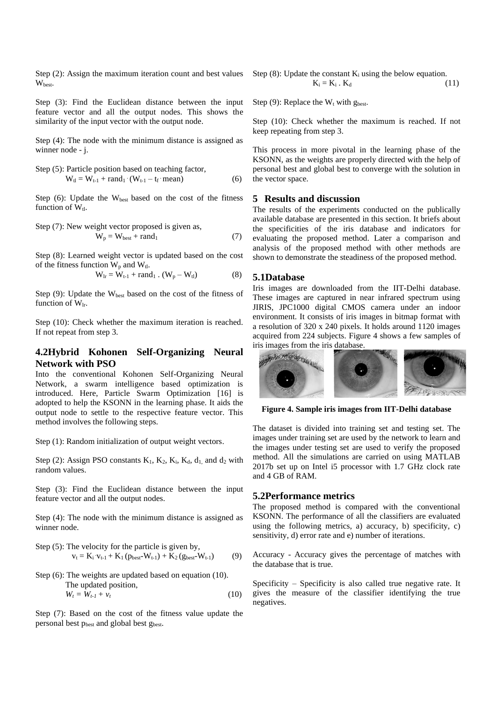Step (2): Assign the maximum iteration count and best values Wbest.

Step (3): Find the Euclidean distance between the input feature vector and all the output nodes. This shows the similarity of the input vector with the output node.

Step (4): The node with the minimum distance is assigned as winner node - j.

Step (5): Particle position based on teaching factor,  $W_{tl} = W_{t-1} + rand_1 \cdot (W_{t-1} - t_f \cdot mean)$  (6)

Step  $(6)$ : Update the W<sub>best</sub> based on the cost of the fitness function of  $W_{tl}$ .

Step (7): New weight vector proposed is given as,  $W_p = W_{best} + rand_1$  (7)

Step (8): Learned weight vector is updated based on the cost of the fitness function  $W_p$  and  $W_d$ .

 $W_{lr} = W_{t-1} + rand_1$ .  $(W_p - W_t)$  (8)

Step  $(9)$ : Update the W<sub>best</sub> based on the cost of the fitness of function of  $W<sub>lr</sub>$ .

Step (10): Check whether the maximum iteration is reached. If not repeat from step 3.

# **4.2Hybrid Kohonen Self-Organizing Neural Network with PSO**

Into the conventional Kohonen Self-Organizing Neural Network, a swarm intelligence based optimization is introduced. Here, Particle Swarm Optimization [16] is adopted to help the KSONN in the learning phase. It aids the output node to settle to the respective feature vector. This method involves the following steps.

Step (1): Random initialization of output weight vectors.

Step (2): Assign PSO constants  $K_1$ ,  $K_2$ ,  $K_i$ ,  $K_d$ ,  $d_1$ , and  $d_2$  with random values.

Step (3): Find the Euclidean distance between the input feature vector and all the output nodes.

Step (4): The node with the minimum distance is assigned as winner node.

Step (5): The velocity for the particle is given by,  
\n
$$
v_t = K_i v_{t-1} + K_1 (p_{best} - W_{t-1}) + K_2 (g_{best} - W_{t-1})
$$
\n(9)

Step (6): The weights are updated based on equation (10). The updated position,  $W_t = W_{t-1} + v_t$  (10)

Step (7): Based on the cost of the fitness value update the personal best p<sub>best</sub> and global best g<sub>best</sub>.

Step  $(8)$ : Update the constant  $K_i$  using the below equation.  $K_i = K_i$ .  $K_d$  (11)

Step (9): Replace the  $W_t$  with  $g_{best}$ .

Step (10): Check whether the maximum is reached. If not keep repeating from step 3.

This process in more pivotal in the learning phase of the KSONN, as the weights are properly directed with the help of personal best and global best to converge with the solution in the vector space.

#### **5 Results and discussion**

The results of the experiments conducted on the publically available database are presented in this section. It briefs about the specificities of the iris database and indicators for evaluating the proposed method. Later a comparison and analysis of the proposed method with other methods are shown to demonstrate the steadiness of the proposed method.

#### **5.1Database**

Iris images are downloaded from the IIT-Delhi database. These images are captured in near infrared spectrum using JIRIS, JPC1000 digital CMOS camera under an indoor environment. It consists of iris images in bitmap format with a resolution of 320 x 240 pixels. It holds around 1120 images acquired from 224 subjects. Figure 4 shows a few samples of



**Figure 4. Sample iris images from IIT-Delhi database**

The dataset is divided into training set and testing set. The images under training set are used by the network to learn and the images under testing set are used to verify the proposed method. All the simulations are carried on using MATLAB 2017b set up on Intel i5 processor with 1.7 GHz clock rate and 4 GB of RAM.

#### **5.2Performance metrics**

The proposed method is compared with the conventional KSONN. The performance of all the classifiers are evaluated using the following metrics, a) accuracy, b) specificity, c) sensitivity, d) error rate and e) number of iterations.

Accuracy - Accuracy gives the percentage of matches with the database that is true.

Specificity – Specificity is also called true negative rate. It gives the measure of the classifier identifying the true negatives.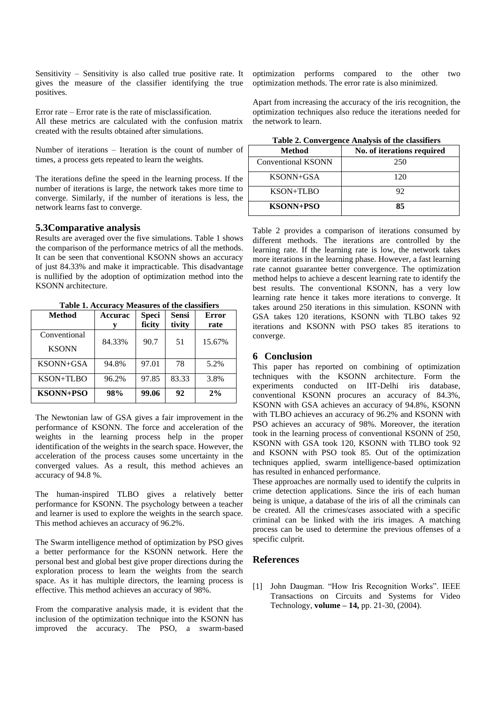Sensitivity – Sensitivity is also called true positive rate. It gives the measure of the classifier identifying the true positives.

Error rate – Error rate is the rate of misclassification. All these metrics are calculated with the confusion matrix created with the results obtained after simulations.

Number of iterations – Iteration is the count of number of times, a process gets repeated to learn the weights.

The iterations define the speed in the learning process. If the number of iterations is large, the network takes more time to converge. Similarly, if the number of iterations is less, the network learns fast to converge.

## **5.3Comparative analysis**

Results are averaged over the five simulations. Table 1 shows the comparison of the performance metrics of all the methods. It can be seen that conventional KSONN shows an accuracy of just 84.33% and make it impracticable. This disadvantage is nullified by the adoption of optimization method into the KSONN architecture.

**Table 1. Accuracy Measures of the classifiers**

| <b>Method</b> | <b>Accurac</b><br>V | <b>Speci</b><br>ficity | <b>Sensi</b><br>tivity | Error<br>rate |
|---------------|---------------------|------------------------|------------------------|---------------|
| Conventional  | 84.33%              | 90.7                   | 51                     | 15.67%        |
| <b>KSONN</b>  |                     |                        |                        |               |
| KSONN+GSA     | 94.8%               | 97.01                  | 78                     | 5.2%          |
| KSON+TLBO     | 96.2%               | 97.85                  | 83.33                  | 3.8%          |
| KSONN+PSO     | 98%                 | 99.06                  | 92                     | 2%            |

The Newtonian law of GSA gives a fair improvement in the performance of KSONN. The force and acceleration of the weights in the learning process help in the proper identification of the weights in the search space. However, the acceleration of the process causes some uncertainty in the converged values. As a result, this method achieves an accuracy of 94.8 %.

The human-inspired TLBO gives a relatively better performance for KSONN. The psychology between a teacher and learner is used to explore the weights in the search space. This method achieves an accuracy of 96.2%.

The Swarm intelligence method of optimization by PSO gives a better performance for the KSONN network. Here the personal best and global best give proper directions during the exploration process to learn the weights from the search space. As it has multiple directors, the learning process is effective. This method achieves an accuracy of 98%.

From the comparative analysis made, it is evident that the inclusion of the optimization technique into the KSONN has improved the accuracy. The PSO, a swarm-based optimization performs compared to the other two optimization methods. The error rate is also minimized.

Apart from increasing the accuracy of the iris recognition, the optimization techniques also reduce the iterations needed for the network to learn.

| Table 2. Convergence Analysis of the classifiers |                            |  |  |  |
|--------------------------------------------------|----------------------------|--|--|--|
| <b>Method</b>                                    | No. of iterations required |  |  |  |
| <b>Conventional KSONN</b>                        | 250                        |  |  |  |
| KSONN+GSA                                        | 120                        |  |  |  |
| KSON+TLBO                                        | 92                         |  |  |  |
| KSONN+PSO                                        | 85                         |  |  |  |

**Table 2. Convergence Analysis of the classifiers**

Table 2 provides a comparison of iterations consumed by different methods. The iterations are controlled by the learning rate. If the learning rate is low, the network takes more iterations in the learning phase. However, a fast learning rate cannot guarantee better convergence. The optimization method helps to achieve a descent learning rate to identify the best results. The conventional KSONN, has a very low learning rate hence it takes more iterations to converge. It takes around 250 iterations in this simulation. KSONN with GSA takes 120 iterations, KSONN with TLBO takes 92 iterations and KSONN with PSO takes 85 iterations to converge.

#### **6 Conclusion**

This paper has reported on combining of optimization techniques with the KSONN architecture. Form the experiments conducted on IIT-Delhi iris database, conventional KSONN procures an accuracy of 84.3%, KSONN with GSA achieves an accuracy of 94.8%, KSONN with TLBO achieves an accuracy of 96.2% and KSONN with PSO achieves an accuracy of 98%. Moreover, the iteration took in the learning process of conventional KSONN of 250, KSONN with GSA took 120, KSONN with TLBO took 92 and KSONN with PSO took 85. Out of the optimization techniques applied, swarm intelligence-based optimization has resulted in enhanced performance.

These approaches are normally used to identify the culprits in crime detection applications. Since the iris of each human being is unique, a database of the iris of all the criminals can be created. All the crimes/cases associated with a specific criminal can be linked with the iris images. A matching process can be used to determine the previous offenses of a specific culprit.

#### **References**

[1] John Daugman. "How Iris Recognition Works". IEEE Transactions on Circuits and Systems for Video Technology, **volume – 14,** pp. 21-30, (2004).